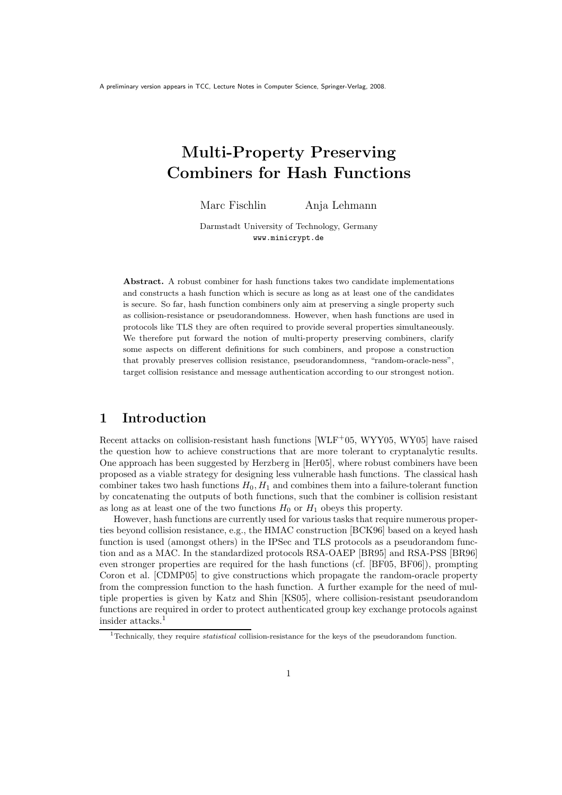# Multi-Property Preserving Combiners for Hash Functions

Marc Fischlin Anja Lehmann

Darmstadt University of Technology, Germany www.minicrypt.de

Abstract. A robust combiner for hash functions takes two candidate implementations and constructs a hash function which is secure as long as at least one of the candidates is secure. So far, hash function combiners only aim at preserving a single property such as collision-resistance or pseudorandomness. However, when hash functions are used in protocols like TLS they are often required to provide several properties simultaneously. We therefore put forward the notion of multi-property preserving combiners, clarify some aspects on different definitions for such combiners, and propose a construction that provably preserves collision resistance, pseudorandomness, "random-oracle-ness", target collision resistance and message authentication according to our strongest notion.

## 1 Introduction

Recent attacks on collision-resistant hash functions [WLF<sup>+</sup>05, WYY05, WY05] have raised the question how to achieve constructions that are more tolerant to cryptanalytic results. One approach has been suggested by Herzberg in [Her05], where robust combiners have been proposed as a viable strategy for designing less vulnerable hash functions. The classical hash combiner takes two hash functions  $H_0, H_1$  and combines them into a failure-tolerant function by concatenating the outputs of both functions, such that the combiner is collision resistant as long as at least one of the two functions  $H_0$  or  $H_1$  obeys this property.

However, hash functions are currently used for various tasks that require numerous properties beyond collision resistance, e.g., the HMAC construction [BCK96] based on a keyed hash function is used (amongst others) in the IPSec and TLS protocols as a pseudorandom function and as a MAC. In the standardized protocols RSA-OAEP [BR95] and RSA-PSS [BR96] even stronger properties are required for the hash functions (cf. [BF05, BF06]), prompting Coron et al. [CDMP05] to give constructions which propagate the random-oracle property from the compression function to the hash function. A further example for the need of multiple properties is given by Katz and Shin [KS05], where collision-resistant pseudorandom functions are required in order to protect authenticated group key exchange protocols against insider attacks.<sup>1</sup>

<sup>&</sup>lt;sup>1</sup>Technically, they require *statistical* collision-resistance for the keys of the pseudorandom function.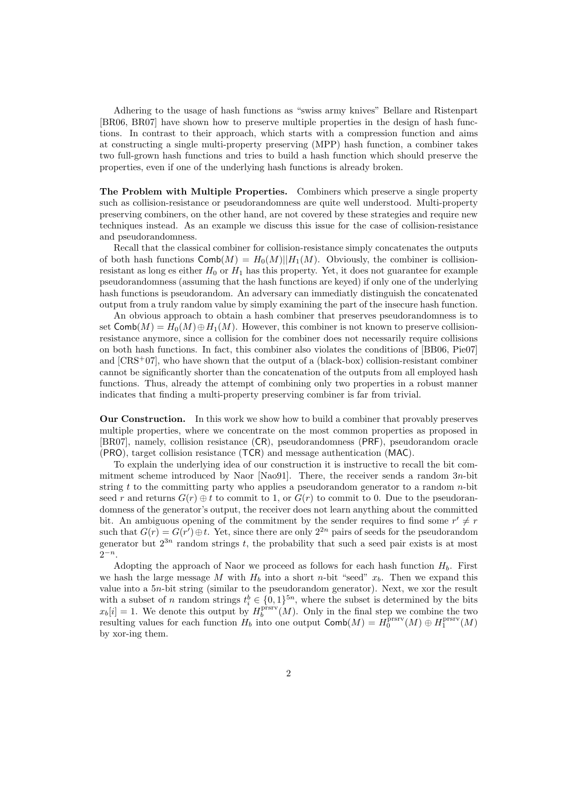Adhering to the usage of hash functions as "swiss army knives" Bellare and Ristenpart [BR06, BR07] have shown how to preserve multiple properties in the design of hash functions. In contrast to their approach, which starts with a compression function and aims at constructing a single multi-property preserving (MPP) hash function, a combiner takes two full-grown hash functions and tries to build a hash function which should preserve the properties, even if one of the underlying hash functions is already broken.

The Problem with Multiple Properties. Combiners which preserve a single property such as collision-resistance or pseudorandomness are quite well understood. Multi-property preserving combiners, on the other hand, are not covered by these strategies and require new techniques instead. As an example we discuss this issue for the case of collision-resistance and pseudorandomness.

Recall that the classical combiner for collision-resistance simply concatenates the outputs of both hash functions  $\text{Comb}(M) = H_0(M) || H_1(M)$ . Obviously, the combiner is collisionresistant as long es either  $H_0$  or  $H_1$  has this property. Yet, it does not guarantee for example pseudorandomness (assuming that the hash functions are keyed) if only one of the underlying hash functions is pseudorandom. An adversary can immediatly distinguish the concatenated output from a truly random value by simply examining the part of the insecure hash function.

An obvious approach to obtain a hash combiner that preserves pseudorandomness is to set  $\textsf{Comb}(M) = H_0(M) \oplus H_1(M)$ . However, this combiner is not known to preserve collisionresistance anymore, since a collision for the combiner does not necessarily require collisions on both hash functions. In fact, this combiner also violates the conditions of [BB06, Pie07] and [CRS<sup>+</sup>07], who have shown that the output of a (black-box) collision-resistant combiner cannot be significantly shorter than the concatenation of the outputs from all employed hash functions. Thus, already the attempt of combining only two properties in a robust manner indicates that finding a multi-property preserving combiner is far from trivial.

Our Construction. In this work we show how to build a combiner that provably preserves multiple properties, where we concentrate on the most common properties as proposed in [BR07], namely, collision resistance (CR), pseudorandomness (PRF), pseudorandom oracle (PRO), target collision resistance (TCR) and message authentication (MAC).

To explain the underlying idea of our construction it is instructive to recall the bit commitment scheme introduced by Naor [Nao91]. There, the receiver sends a random 3n-bit string t to the committing party who applies a pseudorandom generator to a random  $n$ -bit seed r and returns  $G(r) \oplus t$  to commit to 1, or  $G(r)$  to commit to 0. Due to the pseudorandomness of the generator's output, the receiver does not learn anything about the committed bit. An ambiguous opening of the commitment by the sender requires to find some  $r' \neq r$ such that  $G(r) = G(r') \oplus t$ . Yet, since there are only  $2^{2n}$  pairs of seeds for the pseudorandom generator but  $2^{3n}$  random strings t, the probability that such a seed pair exists is at most  $2^{-n}$ .

Adopting the approach of Naor we proceed as follows for each hash function  $H_b$ . First we hash the large message M with  $H_b$  into a short n-bit "seed"  $x_b$ . Then we expand this value into a 5n-bit string (similar to the pseudorandom generator). Next, we xor the result with a subset of n random strings  $t_i^b \in \{0,1\}^{5n}$ , where the subset is determined by the bits  $x_b[i] = 1$ . We denote this output by  $H_b^{\text{prsv}}(M)$ . Only in the final step we combine the two resulting values for each function  $H_b$  into one output  $\textsf{Comb}(M) = H_0^{\text{prsv}}(M) \oplus H_1^{\text{prsv}}(M)$ by xor-ing them.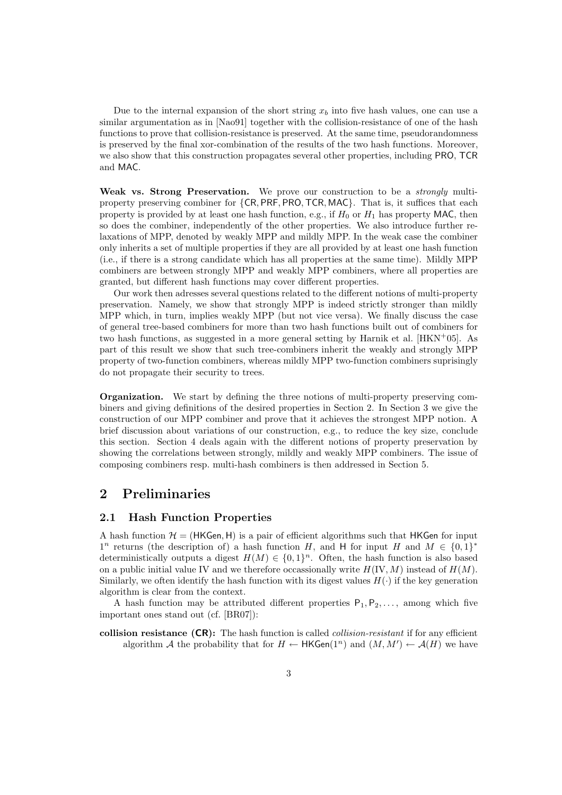Due to the internal expansion of the short string  $x<sub>b</sub>$  into five hash values, one can use a similar argumentation as in [Nao91] together with the collision-resistance of one of the hash functions to prove that collision-resistance is preserved. At the same time, pseudorandomness is preserved by the final xor-combination of the results of the two hash functions. Moreover, we also show that this construction propagates several other properties, including PRO, TCR and MAC.

Weak vs. Strong Preservation. We prove our construction to be a *strongly* multiproperty preserving combiner for {CR, PRF, PRO,TCR, MAC}. That is, it suffices that each property is provided by at least one hash function, e.g., if  $H_0$  or  $H_1$  has property MAC, then so does the combiner, independently of the other properties. We also introduce further relaxations of MPP, denoted by weakly MPP and mildly MPP. In the weak case the combiner only inherits a set of multiple properties if they are all provided by at least one hash function (i.e., if there is a strong candidate which has all properties at the same time). Mildly MPP combiners are between strongly MPP and weakly MPP combiners, where all properties are granted, but different hash functions may cover different properties.

Our work then adresses several questions related to the different notions of multi-property preservation. Namely, we show that strongly MPP is indeed strictly stronger than mildly MPP which, in turn, implies weakly MPP (but not vice versa). We finally discuss the case of general tree-based combiners for more than two hash functions built out of combiners for two hash functions, as suggested in a more general setting by Harnik et al.  $[HKN<sup>+</sup>05]$ . As part of this result we show that such tree-combiners inherit the weakly and strongly MPP property of two-function combiners, whereas mildly MPP two-function combiners suprisingly do not propagate their security to trees.

Organization. We start by defining the three notions of multi-property preserving combiners and giving definitions of the desired properties in Section 2. In Section 3 we give the construction of our MPP combiner and prove that it achieves the strongest MPP notion. A brief discussion about variations of our construction, e.g., to reduce the key size, conclude this section. Section 4 deals again with the different notions of property preservation by showing the correlations between strongly, mildly and weakly MPP combiners. The issue of composing combiners resp. multi-hash combiners is then addressed in Section 5.

# 2 Preliminaries

### 2.1 Hash Function Properties

A hash function  $\mathcal{H} = (HKGen, H)$  is a pair of efficient algorithms such that HKGen for input  $1^n$  returns (the description of) a hash function H, and H for input H and  $M \in \{0,1\}^*$ deterministically outputs a digest  $H(M) \in \{0,1\}^n$ . Often, the hash function is also based on a public initial value IV and we therefore occassionally write  $H(\mathrm{IV}, M)$  instead of  $H(M)$ . Similarly, we often identify the hash function with its digest values  $H(\cdot)$  if the key generation algorithm is clear from the context.

A hash function may be attributed different properties  $P_1, P_2, \ldots$ , among which five important ones stand out (cf. [BR07]):

collision resistance  $(CR)$ : The hash function is called *collision-resistant* if for any efficient algorithm A the probability that for  $H \leftarrow \mathsf{HKGen}(1^n)$  and  $(M, M') \leftarrow \mathcal{A}(H)$  we have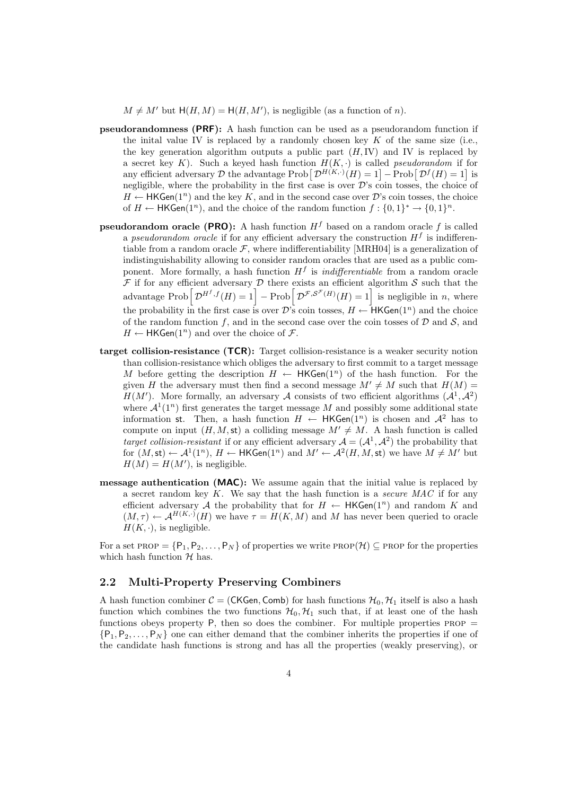$M \neq M'$  but  $H(H, M) = H(H, M')$ , is negligible (as a function of n).

- pseudorandomness (PRF): A hash function can be used as a pseudorandom function if the inital value IV is replaced by a randomly chosen key  $K$  of the same size (i.e., the key generation algorithm outputs a public part  $(H, IV)$  and IV is replaced by a secret key K). Such a keyed hash function  $H(K, \cdot)$  is called *pseudorandom* if for any efficient adversary D the advantage  $\text{Prob}\left[\mathcal{D}^{H(K,\cdot)}(H)=1\right]-\text{Prob}\left[\mathcal{D}^{f}(H)=1\right]$  is negligible, where the probability in the first case is over  $\mathcal{D}$ 's coin tosses, the choice of  $H \leftarrow$  HKGen(1<sup>n</sup>) and the key K, and in the second case over D's coin tosses, the choice of  $H \leftarrow \mathsf{HKGen}(1^n)$ , and the choice of the random function  $f: \{0,1\}^* \rightarrow \{0,1\}^n$ .
- **pseudorandom oracle (PRO):** A hash function  $H<sup>f</sup>$  based on a random oracle f is called a pseudorandom oracle if for any efficient adversary the construction  $H<sup>f</sup>$  is indifferentiable from a random oracle  $\mathcal{F}$ , where indifferentiability [MRH04] is a generalization of indistinguishability allowing to consider random oracles that are used as a public component. More formally, a hash function  $H^f$  is *indifferentiable* from a random oracle F if for any efficient adversary D there exists an efficient algorithm S such that the advantage  $\text{Prob}\left[\mathcal{D}^{H^f,f}(H)=1\right]-\text{Prob}\left[\mathcal{D}^{\mathcal{F},\mathcal{S}^{\mathcal{F}}(H)}(H)=1\right]$  is negligible in *n*, where the probability in the first case is over  $\mathcal{D}$ 's coin tosses,  $H \leftarrow \mathsf{HKGen}(1^n)$  and the choice of the random function f, and in the second case over the coin tosses of  $D$  and  $S$ , and  $H \leftarrow$  HKGen(1<sup>n</sup>) and over the choice of  $\mathcal{F}$ .
- target collision-resistance (TCR): Target collision-resistance is a weaker security notion than collision-resistance which obliges the adversary to first commit to a target message M before getting the description  $H \leftarrow HKGen(1^n)$  of the hash function. For the given H the adversary must then find a second message  $M' \neq M$  such that  $H(M) =$  $H(M')$ . More formally, an adversary A consists of two efficient algorithms  $(A^1, A^2)$ where  $\mathcal{A}^1(1^n)$  first generates the target message M and possibly some additional state information st. Then, a hash function  $H \leftarrow HKGen(1^n)$  is chosen and  $\mathcal{A}^2$  has to compute on input  $(H, M, \mathsf{st})$  a colliding message  $M' \neq M$ . A hash function is called target collision-resistant if or any efficient adversary  $A = (A^1, A^2)$  the probability that for  $(M, \text{st}) \leftarrow A^1(1^n)$ ,  $H \leftarrow \text{HKGen}(1^n)$  and  $M' \leftarrow A^2(H, M, \text{st})$  we have  $M \neq M'$  but  $H(M) = H(M')$ , is negligible.
- message authentication (MAC): We assume again that the initial value is replaced by a secret random key  $K$ . We say that the hash function is a secure MAC if for any efficient adversary A the probability that for  $H \leftarrow \mathsf{HKGen}(1^n)$  and random K and  $(M, \tau) \leftarrow \mathcal{A}^{H(K, \cdot)}(H)$  we have  $\tau = H(K, M)$  and M has never been queried to oracle  $H(K, \cdot)$ , is negligible.

For a set PROP =  $\{P_1, P_2, \ldots, P_N\}$  of properties we write PROP( $\mathcal{H}$ )  $\subseteq$  PROP for the properties which hash function  $H$  has.

### 2.2 Multi-Property Preserving Combiners

A hash function combiner  $C = (CKGen, Comb)$  for hash functions  $\mathcal{H}_0, \mathcal{H}_1$  itself is also a hash function which combines the two functions  $\mathcal{H}_0$ ,  $\mathcal{H}_1$  such that, if at least one of the hash functions obeys property  $P$ , then so does the combiner. For multiple properties PROP  $=$  ${P_1, P_2, \ldots, P_N}$  one can either demand that the combiner inherits the properties if one of the candidate hash functions is strong and has all the properties (weakly preserving), or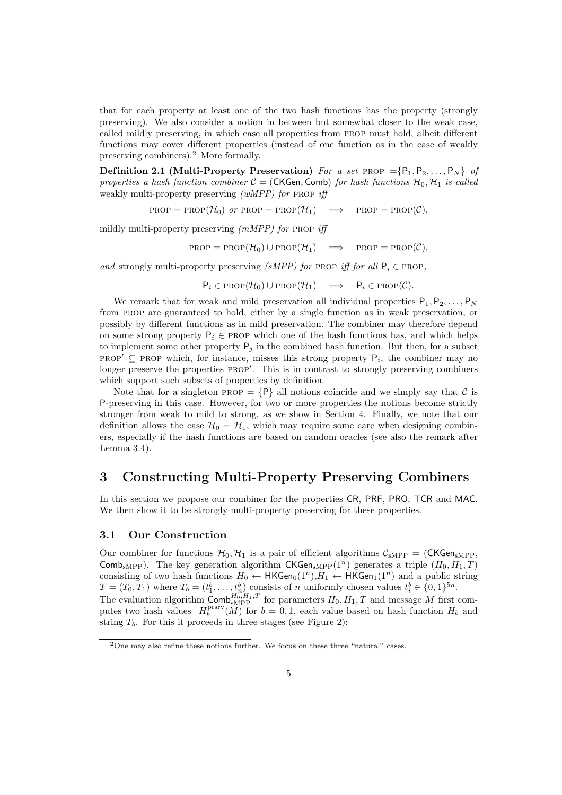that for each property at least one of the two hash functions has the property (strongly preserving). We also consider a notion in between but somewhat closer to the weak case, called mildly preserving, in which case all properties from prop must hold, albeit different functions may cover different properties (instead of one function as in the case of weakly preserving combiners).<sup>2</sup> More formally,

**Definition 2.1 (Multi-Property Preservation)** For a set PROP  $= {P_1, P_2, \ldots, P_N}$  of properties a hash function combiner  $C = (CKGen, Comb)$  for hash functions  $H_0, H_1$  is called weakly multi-property preserving  $(wMPP)$  for PROP iff

 $PROP = PROP(\mathcal{H}_0)$  or  $PROP = PROP(\mathcal{H}_1) \implies PROP = PROP(\mathcal{C}),$ 

mildly multi-property preserving  $(mMPP)$  for PROP iff

 $PROP = PROP(\mathcal{H}_0) \cup PROP(\mathcal{H}_1) \implies PROP = PROP(\mathcal{C}),$ 

and strongly multi-property preserving (sMPP) for PROP iff for all  $P_i \in P$ ROP.

 $P_i \in \text{PROP}(\mathcal{H}_0) \cup \text{PROP}(\mathcal{H}_1) \implies P_i \in \text{PROP}(\mathcal{C}).$ 

We remark that for weak and mild preservation all individual properties  $P_1, P_2, \ldots, P_N$ from prop are guaranteed to hold, either by a single function as in weak preservation, or possibly by different functions as in mild preservation. The combiner may therefore depend on some strong property  $P_i \in PROP$  which one of the hash functions has, and which helps to implement some other property  $P_i$  in the combined hash function. But then, for a subset PROP<sup>'</sup>  $\subseteq$  PROP which, for instance, misses this strong property  $P_i$ , the combiner may no longer preserve the properties PROP'. This is in contrast to strongly preserving combiners which support such subsets of properties by definition.

Note that for a singleton PROP =  $\{P\}$  all notions coincide and we simply say that C is P-preserving in this case. However, for two or more properties the notions become strictly stronger from weak to mild to strong, as we show in Section 4. Finally, we note that our definition allows the case  $\mathcal{H}_0 = \mathcal{H}_1$ , which may require some care when designing combiners, especially if the hash functions are based on random oracles (see also the remark after Lemma 3.4).

### 3 Constructing Multi-Property Preserving Combiners

In this section we propose our combiner for the properties CR, PRF, PRO, TCR and MAC. We then show it to be strongly multi-property preserving for these properties.

#### 3.1 Our Construction

Our combiner for functions  $\mathcal{H}_0$ ,  $\mathcal{H}_1$  is a pair of efficient algorithms  $\mathcal{C}_{\text{sMPP}} = (\text{CKGen}_{\text{sMPP}})$ Comb<sub>sMPP</sub>). The key generation algorithm CKGen<sub>sMPP</sub>(1<sup>n</sup>) generates a triple  $(H_0, H_1, T)$ consisting of two hash functions  $H_0 \leftarrow \text{HKGen}_0(1^n), H_1 \leftarrow \text{HKGen}_1(1^n)$  and a public string  $T = (T_0, T_1)$  where  $T_b = (t_1^b, \ldots, t_n^b)$  consists of n uniformly chosen values  $t_i^b \in \{0, 1\}^{5n}$ . The evaluation algorithm  $\mathsf{Comb}_{\mathrm{sMPP}}^{H_0,H_1,T}$  for parameters  $H_0, H_1, T$  and message M first computes two hash values  $H_b^{\text{prsv}}(M)$  for  $b = 0, 1$ , each value based on hash function  $H_b$  and string  $T_b$ . For this it proceeds in three stages (see Figure 2):

<sup>&</sup>lt;sup>2</sup>One may also refine these notions further. We focus on these three "natural" cases.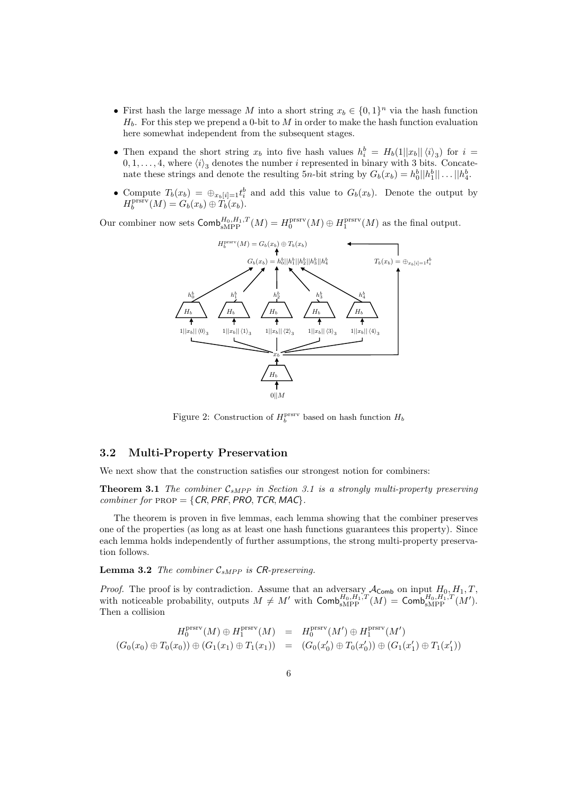- First hash the large message M into a short string  $x_b \in \{0,1\}^n$  via the hash function  $H<sub>b</sub>$ . For this step we prepend a 0-bit to M in order to make the hash function evaluation here somewhat independent from the subsequent stages.
- Then expand the short string  $x_b$  into five hash values  $h_i^b = H_b(1||x_b|| \langle i \rangle_3)$  for  $i =$  $0, 1, \ldots, 4$ , where  $\langle i \rangle_3$  denotes the number i represented in binary with 3 bits. Concatenate these strings and denote the resulting 5n-bit string by  $G_b(x_b) = h_0^b ||h_1^b|| \dots ||h_4^b$ .
- Compute  $T_b(x_b) = \bigoplus_{x_b[i]=1} t_i^b$  and add this value to  $G_b(x_b)$ . Denote the output by  $H_b^{\text{prstv}}(M) = G_b(x_b) \oplus T_b(x_b).$

Our combiner now sets  $\textsf{Comb}_{\text{sMPP}}^{H_0,H_1,T}(M) = H_0^{\text{prsv}}(M) \oplus H_1^{\text{prsv}}(M)$  as the final output.



Figure 2: Construction of  $H_b^{\text{prsv}}$  based on hash function  $H_b$ 

### 3.2 Multi-Property Preservation

We next show that the construction satisfies our strongest notion for combiners:

**Theorem 3.1** The combiner  $C_{sMPP}$  in Section 3.1 is a strongly multi-property preserving combiner for  $PROP = \{CR, PRF, PRO, TCR, MAC\}.$ 

The theorem is proven in five lemmas, each lemma showing that the combiner preserves one of the properties (as long as at least one hash functions guarantees this property). Since each lemma holds independently of further assumptions, the strong multi-property preservation follows.

**Lemma 3.2** The combiner  $C_{sMPP}$  is CR-preserving.

*Proof.* The proof is by contradiction. Assume that an adversary  $\mathcal{A}_{\mathsf{Comb}}$  on input  $H_0, H_1, T$ , with noticeable probability, outputs  $M \neq M'$  with  $\textsf{Comb}_{\text{sMPP}}^{H_0, H_1, T}(M) = \textsf{Comb}_{\text{sMPP}}^{H_0, H_1, T}(M').$ Then a collision

$$
H_0^{\text{prstv}}(M) \oplus H_1^{\text{prstv}}(M) = H_0^{\text{prstv}}(M') \oplus H_1^{\text{prstv}}(M')
$$
  

$$
(G_0(x_0) \oplus T_0(x_0)) \oplus (G_1(x_1) \oplus T_1(x_1)) = (G_0(x'_0) \oplus T_0(x'_0)) \oplus (G_1(x'_1) \oplus T_1(x'_1))
$$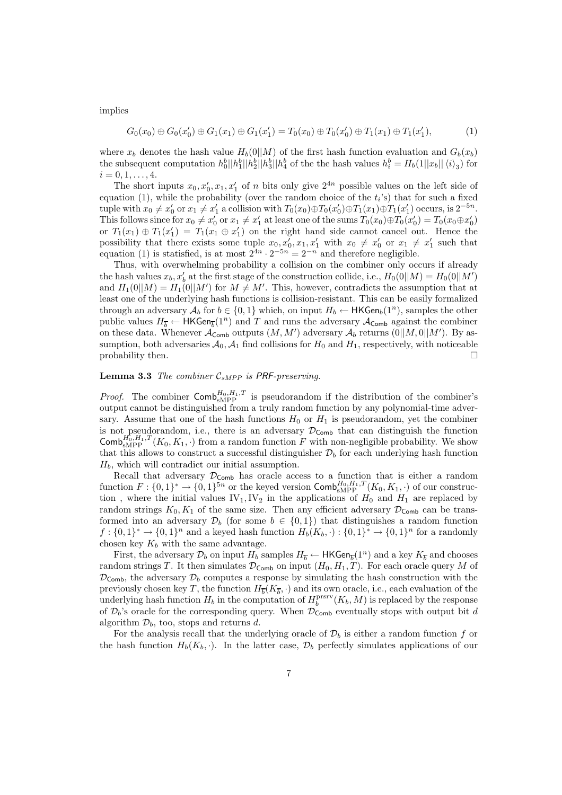implies

$$
G_0(x_0) \oplus G_0(x'_0) \oplus G_1(x_1) \oplus G_1(x'_1) = T_0(x_0) \oplus T_0(x'_0) \oplus T_1(x_1) \oplus T_1(x'_1), \tag{1}
$$

where  $x_b$  denotes the hash value  $H_b(0||M)$  of the first hash function evaluation and  $G_b(x_b)$ the subsequent computation  $h_0^b||h_1^b||h_2^b||h_3^b||h_4^b$  of the the hash values  $h_i^b = H_b(1||x_b||\langle i \rangle_3)$  for  $i = 0, 1, \ldots, 4.$ 

The short inputs  $x_0, x'_0, x_1, x'_1$  of n bits only give  $2^{4n}$  possible values on the left side of equation (1), while the probability (over the random choice of the  $t_i$ 's) that for such a fixed tuple with  $x_0 \neq x'_0$  or  $x_1 \neq x'_1$  a collision with  $T_0(x_0) \oplus T_0(x'_0) \oplus T_1(x_1) \oplus T_1(x'_1)$  occurs, is  $2^{-5n}$ . This follows since for  $x_0 \neq x'_0$  or  $x_1 \neq x'_1$  at least one of the sums  $T_0(x_0) \oplus T_0(x'_0) = T_0(x_0 \oplus x'_0)$ or  $T_1(x_1) \oplus T_1(x_1') = T_1(x_1 \oplus x_1')$  on the right hand side cannot cancel out. Hence the possibility that there exists some tuple  $x_0, x'_0, x_1, x'_1$  with  $x_0 \neq x'_0$  or  $x_1 \neq x'_1$  such that equation (1) is statisfied, is at most  $2^{4n} \cdot 2^{-5n} = 2^{-n}$  and therefore negligible.

Thus, with overwhelming probability a collision on the combiner only occurs if already the hash values  $x_b, x'_b$  at the first stage of the construction collide, i.e.,  $H_0(0||M) = H_0(0||M')$ and  $H_1(0||M) = H_1(0||M')$  for  $M \neq M'$ . This, however, contradicts the assumption that at least one of the underlying hash functions is collision-resistant. This can be easily formalized through an adversary  $\mathcal{A}_b$  for  $b \in \{0,1\}$  which, on input  $H_b \leftarrow \text{HKGen}_b(1^n)$ , samples the other public values  $H_{\overline{b}} \leftarrow \textsf{HKGen}_{\overline{b}}(1^n)$  and T and runs the adversary  $A_{\textsf{Comb}}$  against the combiner on these data. Whenever  $\mathcal{A}_{\mathsf{Comb}}$  outputs  $(M, M')$  adversary  $\mathcal{A}_b$  returns  $(0||M, 0||M')$ . By assumption, both adversaries  $\mathcal{A}_0$ ,  $\mathcal{A}_1$  find collisions for  $H_0$  and  $H_1$ , respectively, with noticeable probability then.  $\Box$ 

### **Lemma 3.3** The combiner  $C_{sMPP}$  is PRF-preserving.

*Proof.* The combiner  $Comb_{\text{sMPP}}^{H_0,H_1,T}$  is pseudorandom if the distribution of the combiner's output cannot be distinguished from a truly random function by any polynomial-time adversary. Assume that one of the hash functions  $H_0$  or  $H_1$  is pseudorandom, yet the combiner is not pseudorandom, i.e., there is an adversary  $\mathcal{D}_{Comb}$  that can distinguish the function Comb ${}_{\text{sMPP}}^{H_0,H_1,T}(K_0,K_1,\cdot)$  from a random function F with non-negligible probability. We show that this allows to construct a successful distinguisher  $\mathcal{D}_b$  for each underlying hash function  $H<sub>b</sub>$ , which will contradict our initial assumption.

Recall that adversary  $\mathcal{D}_{Comb}$  has oracle access to a function that is either a random function  $F: \{0,1\}^* \to \{0,1\}^{5n}$  or the keyed version  $\textsf{Comb}_{\text{sMPP}}^{H_0,H_1,T}(K_0,K_1,\cdot)$  of our construction, where the initial values  $IV_1, IV_2$  in the applications of  $H_0$  and  $H_1$  are replaced by random strings  $K_0, K_1$  of the same size. Then any efficient adversary  $\mathcal{D}_{\mathsf{Comb}}$  can be transformed into an adversary  $\mathcal{D}_b$  (for some  $b \in \{0,1\}$ ) that distinguishes a random function  $f: \{0,1\}^* \to \{0,1\}^n$  and a keyed hash function  $H_b(K_b, \cdot): \{0,1\}^* \to \{0,1\}^n$  for a randomly chosen key  $K_b$  with the same advantage.

First, the adversary  $\mathcal{D}_b$  on input  $H_b$  samples  $H_{\overline{b}} \leftarrow \textsf{HKGen}_{\overline{b}}(1^n)$  and a key  $K_{\overline{b}}$  and chooses random strings T. It then simulates  $\mathcal{D}_{\mathsf{Comb}}$  on input  $(H_0, H_1, T)$ . For each oracle query M of  $\mathcal{D}_{\mathsf{Comb}}$ , the adversary  $\mathcal{D}_b$  computes a response by simulating the hash construction with the previously chosen key T, the function  $H_{\overline{b}}(K_{\overline{b}}, \cdot)$  and its own oracle, i.e., each evaluation of the underlying hash function  $H_b$  in the computation of  $H_b^{\text{prsv}}(K_b, M)$  is replaced by the response of  $\mathcal{D}_b$ 's oracle for the corresponding query. When  $\mathcal{D}_{\mathsf{Comb}}$  eventually stops with output bit d algorithm  $\mathcal{D}_b$ , too, stops and returns d.

For the analysis recall that the underlying oracle of  $\mathcal{D}_b$  is either a random function f or the hash function  $H_b(K_b, \cdot)$ . In the latter case,  $\mathcal{D}_b$  perfectly simulates applications of our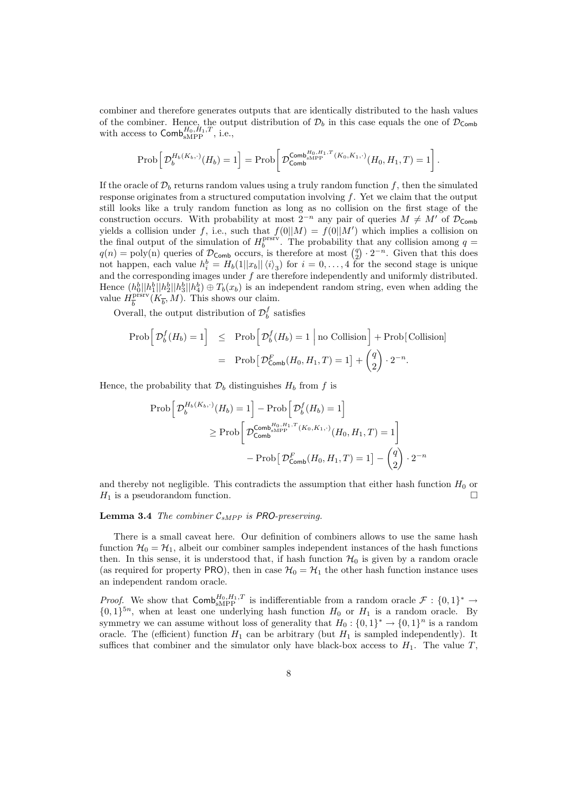combiner and therefore generates outputs that are identically distributed to the hash values of the combiner. Hence, the output distribution of  $\mathcal{D}_b$  in this case equals the one of  $\mathcal{D}_{\mathsf{Comb}}$ with access to  $\mathsf{Comb}_{\mathrm{sMPP}}^{H_0,H_1,T}$ , i.e.,

$$
\operatorname{Prob}\left[\mathcal{D}_{b}^{H_b(K_b,\cdot)}(H_b)=1\right]=\operatorname{Prob}\left[\mathcal{D}_{\mathsf{Comb}}^{\mathsf{Comb}_{\operatorname{sMPP}}^{H_0,H_1,T}(K_0,K_1,\cdot)}(H_0,H_1,T)=1\right].
$$

If the oracle of  $\mathcal{D}_b$  returns random values using a truly random function f, then the simulated response originates from a structured computation involving f. Yet we claim that the output still looks like a truly random function as long as no collision on the first stage of the construction occurs. With probability at most  $2^{-n}$  any pair of queries  $M \neq M'$  of  $\mathcal{D}_{\text{Comb}}$ yields a collision under f, i.e., such that  $f(0||M) = f(0||M')$  which implies a collision on the final output of the simulation of  $H_b^{\text{prsv}}$ . The probability that any collision among  $q =$  $q(n) = \text{poly}(n)$  queries of  $\mathcal{D}_{\text{Comb}}$  occurs, is therefore at most  $\binom{q}{2} \cdot 2^{-n}$ . Given that this does not happen, each value  $h_i^b = H_b(1||x_b|| \langle i \rangle_3)$  for  $i = 0, ..., 4$  for the second stage is unique and the corresponding images under  $f$  are therefore independently and uniformly distributed. Hence  $(h_0^b||h_1^b||h_2^b||h_3^b||h_4^b) \oplus T_b(x_b)$  is an independent random string, even when adding the value  $H_{\overline{k}}^{\text{prsrv}}$  $\frac{\text{prsrv}}{b}(K_{\overline{b}}, M)$ . This shows our claim.

Overall, the output distribution of  $\mathcal{D}_b^f$  satisfies

$$
\text{Prob}\left[\mathcal{D}_b^f(H_b) = 1\right] \leq \text{Prob}\left[\mathcal{D}_b^f(H_b) = 1 \mid \text{no Collision}\right] + \text{Prob}[\text{Collision}\right]
$$

$$
= \text{Prob}\left[\mathcal{D}_{\text{Comb}}^F(H_0, H_1, T) = 1\right] + \binom{q}{2} \cdot 2^{-n}.
$$

Hence, the probability that  $\mathcal{D}_b$  distinguishes  $H_b$  from f is

$$
\begin{aligned} \text{Prob}\Big[\,\mathcal{D}_{b}^{H_{b}(K_{b},\cdot)}(H_{b})=1\Big]-\text{Prob}\Big[\,\mathcal{D}_{b}^{f}(H_{b})=1\Big] \\ \geq &\text{Prob}\Big[\,\mathcal{D}_{\text{Comb}}^{\text{Comb}_{\text{MPP}}^{H_{0},H_{1},T}(K_{0},K_{1},\cdot)}(H_{0},H_{1},T)=1\Big] \\ &-\text{Prob}\big[\,\mathcal{D}_{\text{Comb}}^{F}(H_{0},H_{1},T)=1\big]-\binom{q}{2}\cdot2^{-n} \end{aligned}
$$

and thereby not negligible. This contradicts the assumption that either hash function  $H_0$  or  $H_1$  is a pseudorandom function.

#### **Lemma 3.4** The combiner  $C_{sMPP}$  is PRO-preserving.

There is a small caveat here. Our definition of combiners allows to use the same hash function  $\mathcal{H}_0 = \mathcal{H}_1$ , albeit our combiner samples independent instances of the hash functions then. In this sense, it is understood that, if hash function  $H_0$  is given by a random oracle (as required for property PRO), then in case  $\mathcal{H}_0 = \mathcal{H}_1$  the other hash function instance uses an independent random oracle.

*Proof.* We show that  $\textsf{Comb}_{\text{sMPP}}^{H_0,H_1,T}$  is indifferentiable from a random oracle  $\mathcal{F}: \{0,1\}^* \to$  $\{0,1\}^{5n}$ , when at least one underlying hash function  $H_0$  or  $H_1$  is a random oracle. By symmetry we can assume without loss of generality that  $H_0: \{0,1\}^* \to \{0,1\}^n$  is a random oracle. The (efficient) function  $H_1$  can be arbitrary (but  $H_1$  is sampled independently). It suffices that combiner and the simulator only have black-box access to  $H_1$ . The value T,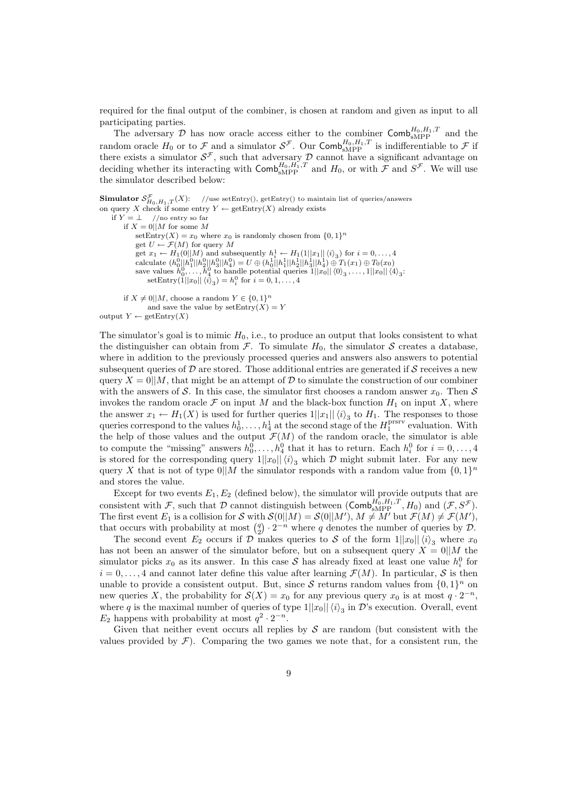required for the final output of the combiner, is chosen at random and given as input to all participating parties.

The adversary D has now oracle access either to the combiner Comb<sub>SMPP</sub>.<sup>T</sup> and the random oracle  $H_0$  or to  $\mathcal F$  and a simulator  $\mathcal S^{\mathcal F}$ . Our  $\mathsf{Comb}_{s\text{MPP}}^{H_0,H_1,T}$  is indifferentiable to  $\mathcal F$  if there exists a simulator  $\mathcal{S}^{\mathcal{F}}$ , such that adversary  $\mathcal{D}$  cannot have a significant advantage on deciding whether its interacting with  $\textsf{Comb}_{\text{sMPP}}^{H_0,H_1,T}$  and  $H_0$ , or with  $\mathcal F$  and  $S^{\mathcal F}$ . We will use the simulator described below:

Simulator  $\mathcal{S}_{H_0,H_1,T}^{\mathcal{F}}(X)$ : //use setEntry(), getEntry() to maintain list of queries/answers on query X check if some entry  $Y \leftarrow$  getEntry $(X)$  already exists if  $Y = \perp /$  //no entry so far if  $X = 0 \mid M$  for some M setEntry(X) =  $x_0$  where  $x_0$  is randomly chosen from  $\{0, 1\}^n$ get  $U \leftarrow \mathcal{F}(M)$  for query M get  $x_1 \leftarrow H_1(0||M)$  and subsequently  $h_i^1 \leftarrow H_1(1||x_1|| \langle i \rangle_3)$  for  $i = 0, \ldots, 4$  $\text{calculate } (h_0^0||h_1^0||h_2^0||h_3^0||h_4^0) = U \oplus (h_0^1||h_1^1||h_2^1||h_3^1||h_4^1) \oplus T_1(x_1) \oplus T_0(x_0)$ save values  $h_0^0, \ldots, h_4^0$  to handle potential queries  $1||x_0|| \langle 0 \rangle_3, \ldots, 1||x_0|| \langle 4 \rangle_3$ : setEntry( $1||x_0|| \langle i \rangle_3$ ) =  $h_i^0$  for  $i = 0, 1, ..., 4$ 

if  $X \neq 0 \mid M$ , choose a random  $Y \in \{0,1\}^n$ and save the value by setEntry $(X) = Y$ output  $Y \leftarrow \text{getEntry}(X)$ 

The simulator's goal is to mimic  $H_0$ , i.e., to produce an output that looks consistent to what the distinguisher can obtain from  $\mathcal F$ . To simulate  $H_0$ , the simulator S creates a database, where in addition to the previously processed queries and answers also answers to potential subsequent queries of  $\mathcal D$  are stored. Those additional entries are generated if  $\mathcal S$  receives a new query  $X = 0||M$ , that might be an attempt of D to simulate the construction of our combiner with the answers of S. In this case, the simulator first chooses a random answer  $x_0$ . Then S invokes the random oracle  $\mathcal F$  on input M and the black-box function  $H_1$  on input X, where the answer  $x_1 \leftarrow H_1(X)$  is used for further queries  $1||x_1|| \langle i \rangle_3$  to  $H_1$ . The responses to those queries correspond to the values  $h_0^1, \ldots, h_4^1$  at the second stage of the  $H_1^{\text{prsv}}$  evaluation. With the help of those values and the output  $\mathcal{F}(M)$  of the random oracle, the simulator is able to compute the "missing" answers  $h_0^0, \ldots, h_4^0$  that it has to return. Each  $h_i^0$  for  $i = 0, \ldots, 4$ is stored for the corresponding query  $1||x_0||^2 \langle i \rangle_3$  which D might submit later. For any new query X that is not of type  $0||M$  the simulator responds with a random value from  $\{0,1\}^n$ and stores the value.

Except for two events  $E_1, E_2$  (defined below), the simulator will provide outputs that are consistent with F, such that D cannot distinguish between  $(\textsf{Comb}_{\text{sMPP}}^{H_0, H_1, T}, H_0)$  and  $(\mathcal{F}, S^{\mathcal{F}})$ . The first event  $E_1$  is a collision for S with  $\mathcal{S}(0||M) = \mathcal{S}(0||M')$ ,  $M \neq M'$  but  $\mathcal{F}(M) \neq \mathcal{F}(M')$ , that occurs with probability at most  $\binom{q}{2}$  $^{q}_{2}$ ) · 2<sup>-n</sup> where q denotes the number of queries by  $\mathcal{D}$ .

The second event  $E_2$  occurs if  $D$  makes queries to  $S$  of the form  $1||x_0|| \langle i \rangle_3$  where  $x_0$ has not been an answer of the simulator before, but on a subsequent query  $X = 0||M$  the simulator picks  $x_0$  as its answer. In this case S has already fixed at least one value  $h_i^0$  for  $i = 0, \ldots, 4$  and cannot later define this value after learning  $\mathcal{F}(M)$ . In particular, S is then unable to provide a consistent output. But, since S returns random values from  $\{0,1\}^n$  on new queries X, the probability for  $S(X) = x_0$  for any previous query  $x_0$  is at most  $q \cdot 2^{-n}$ , where q is the maximal number of queries of type  $1||x_0|| \langle i \rangle_3$  in  $\mathcal{D}$ 's execution. Overall, event  $E_2$  happens with probability at most  $q^2 \cdot 2^{-n}$ .

Given that neither event occurs all replies by  $\mathcal S$  are random (but consistent with the values provided by  $\mathcal{F}$ ). Comparing the two games we note that, for a consistent run, the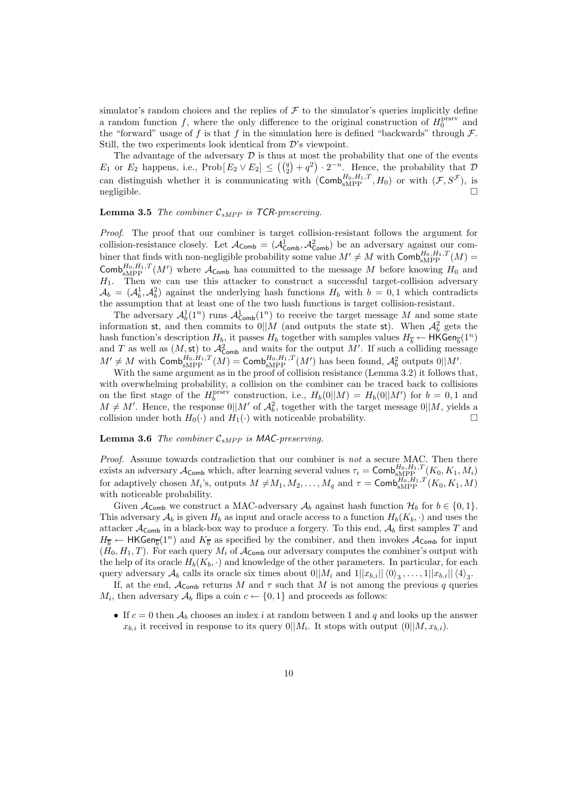simulator's random choices and the replies of  $\mathcal F$  to the simulator's queries implicitly define a random function f, where the only difference to the original construction of  $H_0^{\text{prsv}}$  and the "forward" usage of f is that f in the simulation here is defined "backwards" through  $\mathcal{F}$ . Still, the two experiments look identical from  $\mathcal{D}$ 's viewpoint.

The advantage of the adversary  $\mathcal D$  is thus at most the probability that one of the events  $E_1$  or  $E_2$  happens, i.e.,  $\text{Prob}[E_2 \vee E_2] \leq \left(\binom{q}{2} + q^2\right) \cdot 2^{-n}$ . Hence, the probability that  $\mathcal{D}$ can distinguish whether it is communicating with  $(\textsf{Comb}_{sMPP}^{H_0,H_1,T}, H_0)$  or with  $(\mathcal{F}, S^{\mathcal{F}})$ , is  $\Box$  negligible.

#### **Lemma 3.5** The combiner  $C_{sMPP}$  is TCR-preserving.

Proof. The proof that our combiner is target collision-resistant follows the argument for collision-resistance closely. Let  $\mathcal{A}_{\text{Comb}} = (\mathcal{A}_{\text{Comb}}^1, \mathcal{A}_{\text{Comb}}^2)$  be an adversary against our combiner that finds with non-negligible probability some value  $M' \neq M$  with  $\textsf{Comb}_{\text{sMPP}}^{H_0,H_1,T}(M)$ Comb ${}_{\text{sMPP}}^{H_0,H_1,T}(M')$  where  $\mathcal{A}_{\text{Comb}}$  has committed to the message M before knowing  $H_0$  and  $H_1$ . Then we can use this attacker to construct a successful target-collision adversary  $\mathcal{A}_b = (\mathcal{A}_b^1, \mathcal{A}_b^2)$  against the underlying hash functions  $H_b$  with  $b = 0, 1$  which contradicts the assumption that at least one of the two hash functions is target collision-resistant.

The adversary  $\mathcal{A}_b^1(1^n)$  runs  $\mathcal{A}_{\text{Comb}}^1(1^n)$  to receive the target message M and some state information st, and then commits to  $0||M$  (and outputs the state st). When  $\mathcal{A}_b^2$  gets the hash function's description  $H_b$ , it passes  $H_b$  together with samples values  $H_b^- \leftarrow \textsf{HKGen}_{\overline{b}}(1^n)$ and T as well as  $(M, \text{st})$  to  $\mathcal{A}_{\text{Comb}}^2$  and waits for the output M'. If such a colliding message  $M' \neq M$  with  $\mathsf{Comb}_{\mathrm{sMPP}}^{H_0,H_1,T}(M) = \mathsf{Comb}_{\mathrm{sMPP}}^{H_0,H_1,T}(M')$  has been found,  $\mathcal{A}_b^2$  outputs  $0||M'.$ 

With the same argument as in the proof of collision resistance (Lemma 3.2) it follows that, with overwhelming probability, a collision on the combiner can be traced back to collisions on the first stage of the  $H_b^{\text{prsv}}$  construction, i.e.,  $H_b(0||M) = H_b(0||M')$  for  $b = 0, 1$  and  $M \neq M'$ . Hence, the response  $0||M'$  of  $\mathcal{A}_b^2$ , together with the target message  $0||M$ , yields a collision under both  $H_0(\cdot)$  and  $H_1(\cdot)$  with noticeable probability.

#### **Lemma 3.6** The combiner  $C_{sMPP}$  is MAC-preserving.

Proof. Assume towards contradiction that our combiner is not a secure MAC. Then there exists an adversary  $\mathcal{A}_{\mathsf{Comb}}$  which, after learning several values  $\tau_i = \mathsf{Comb}_{sMPP}^{H_0,H_1,T}(K_0,K_1,M_i)$ for adaptively chosen  $M_i$ 's, outputs  $M \neq M_1, M_2, \ldots, M_q$  and  $\tau = \textsf{Comb}_{\text{sMPP}}^{H_0, H_1, T}(K_0, K_1, M)$ with noticeable probability.

Given  $\mathcal{A}_{\mathsf{Comb}}$  we construct a MAC-adversary  $\mathcal{A}_b$  against hash function  $\mathcal{H}_b$  for  $b \in \{0,1\}$ . This adversary  $\mathcal{A}_b$  is given  $H_b$  as input and oracle access to a function  $H_b(K_b, \cdot)$  and uses the attacker  $A_{\text{Comb}}$  in a black-box way to produce a forgery. To this end,  $A_b$  first samples T and  $H_{\overline{b}} \leftarrow$  HKGen<sub> $\overline{b}$ </sub> (1<sup>n</sup>) and  $K_{\overline{b}}$  as specified by the combiner, and then invokes  $A_{\text{Comb}}$  for input  $(H_0, H_1, T)$ . For each query  $M_i$  of  $\mathcal{A}_{\mathsf{Comb}}$  our adversary computes the combiner's output with the help of its oracle  $H_b(K_b, \cdot)$  and knowledge of the other parameters. In particular, for each query adversary  $\mathcal{A}_b$  calls its oracle six times about  $0||M_i$  and  $1||x_{b,i}||\langle 0 \rangle_3, \ldots, 1||x_{b,i}||\langle 4 \rangle_3$ .

If, at the end,  $\mathcal{A}_{\text{Comb}}$  returns M and  $\tau$  such that M is not among the previous q queries  $M_i$ , then adversary  $\mathcal{A}_b$  flips a coin  $c \leftarrow \{0, 1\}$  and proceeds as follows:

• If  $c = 0$  then  $\mathcal{A}_b$  chooses an index i at random between 1 and q and looks up the answer  $x_{b,i}$  it received in response to its query  $0||M_i$ . It stops with output  $(0||M, x_{b,i})$ .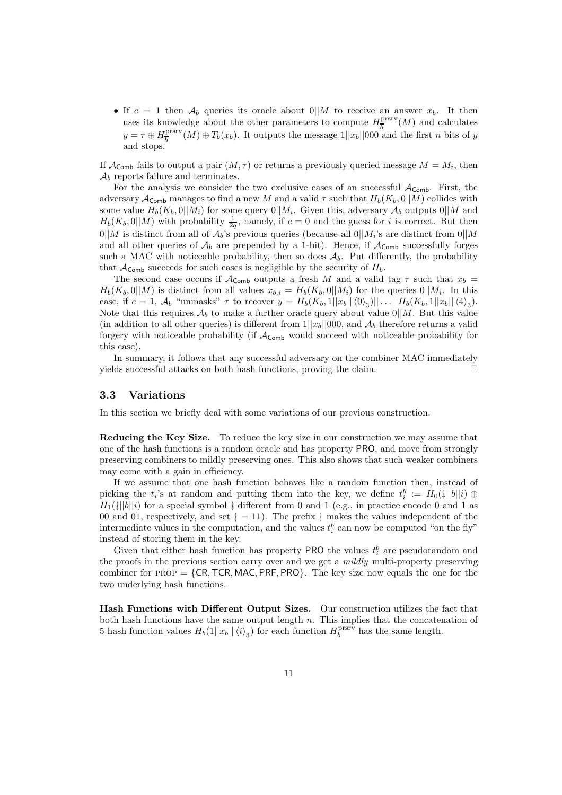• If  $c = 1$  then  $\mathcal{A}_b$  queries its oracle about  $0||M$  to receive an answer  $x_b$ . It then uses its knowledge about the other parameters to compute  $H_{\overline{k}}^{\text{prsv}}$  $\frac{\text{prsrv}}{b}(M)$  and calculates  $y = \tau \oplus H_{\overline{k}}^{\text{prstv}}$  $\frac{\text{prsrv}}{b}(M) \oplus T_b(x_b)$ . It outputs the message  $1||x_b||000$  and the first *n* bits of *y* and stops.

If  $A_{\mathsf{Comb}}$  fails to output a pair  $(M, \tau)$  or returns a previously queried message  $M = M_i$ , then  $\mathcal{A}_b$  reports failure and terminates.

For the analysis we consider the two exclusive cases of an successful  $A_{\text{Comb}}$ . First, the adversary  $\mathcal{A}_{\mathsf{Comb}}$  manages to find a new M and a valid  $\tau$  such that  $H_b(K_b, 0||M)$  collides with some value  $H_b(K_b, 0||M_i)$  for some query  $0||M_i$ . Given this, adversary  $\mathcal{A}_b$  outputs  $0||M$  and  $H_b(K_b, 0||M)$  with probability  $\frac{1}{2q}$ , namely, if  $c = 0$  and the guess for i is correct. But then  $0||M$  is distinct from all of  $\mathcal{A}_b$ 's previous queries (because all  $0||M_i$ 's are distinct from  $0||M_i$ and all other queries of  $\mathcal{A}_b$  are prepended by a 1-bit). Hence, if  $\mathcal{A}_{\mathsf{Comb}}$  successfully forges such a MAC with noticeable probability, then so does  $A<sub>b</sub>$ . Put differently, the probability that  $A_{\text{Comb}}$  succeeds for such cases is negligible by the security of  $H_b$ .

The second case occurs if  $\mathcal{A}_{\mathsf{Comb}}$  outputs a fresh M and a valid tag  $\tau$  such that  $x_b =$  $H_b(K_b, 0||M)$  is distinct from all values  $x_{b,i} = H_b(K_b, 0||M_i)$  for the queries  $0||M_i$ . In this case, if  $c = 1$ ,  $\mathcal{A}_b$  "unmasks"  $\tau$  to recover  $y = H_b(K_b, 1||x_b|| \langle 0 \rangle_3 || \dots ||H_b(K_b, 1||x_b|| \langle 4 \rangle_3)$ . Note that this requires  $\mathcal{A}_b$  to make a further oracle query about value  $0||M$ . But this value (in addition to all other queries) is different from  $1||x_b||000$ , and  $A_b$  therefore returns a valid forgery with noticeable probability (if  $A_{\mathsf{Comb}}$  would succeed with noticeable probability for this case).

In summary, it follows that any successful adversary on the combiner MAC immediately yields successful attacks on both hash functions, proving the claim.  $\Box$ 

#### 3.3 Variations

In this section we briefly deal with some variations of our previous construction.

Reducing the Key Size. To reduce the key size in our construction we may assume that one of the hash functions is a random oracle and has property PRO, and move from strongly preserving combiners to mildly preserving ones. This also shows that such weaker combiners may come with a gain in efficiency.

If we assume that one hash function behaves like a random function then, instead of picking the  $t_i$ 's at random and putting them into the key, we define  $t_i^b := H_0(\ddagger ||b||i) \oplus$  $H_1(\ddagger ||b||i)$  for a special symbol  $\ddagger$  different from 0 and 1 (e.g., in practice encode 0 and 1 as 00 and 01, respectively, and set  $\ddagger = 11$ ). The prefix  $\ddagger$  makes the values independent of the intermediate values in the computation, and the values  $t_i^b$  can now be computed "on the fly" instead of storing them in the key.

Given that either hash function has property PRO the values  $t_i^b$  are pseudorandom and the proofs in the previous section carry over and we get a mildly multi-property preserving combiner for  $PROP = \{CR, TCR, MAC, PRF, PRO\}$ . The key size now equals the one for the two underlying hash functions.

Hash Functions with Different Output Sizes. Our construction utilizes the fact that both hash functions have the same output length  $n$ . This implies that the concatenation of 5 hash function values  $H_b(1||x_b||\langle i \rangle_3)$  for each function  $H_b^{\text{prsv}}$  has the same length.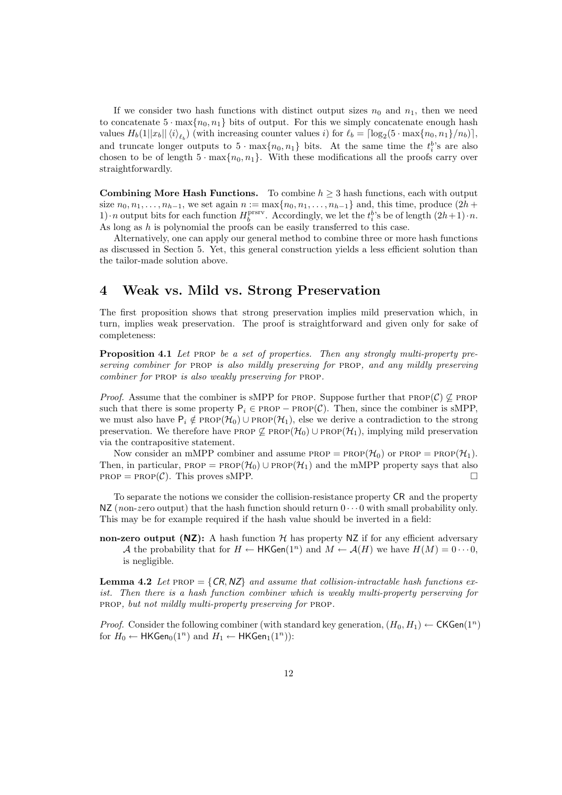If we consider two hash functions with distinct output sizes  $n_0$  and  $n_1$ , then we need to concatenate  $5 \cdot \max\{n_0, n_1\}$  bits of output. For this we simply concatenate enough hash values  $H_b(1||x_b|| \langle i \rangle_{\ell_b})$  (with increasing counter values i) for  $\ell_b = \lceil \log_2(5 \cdot \max\{n_0, n_1\}/n_b) \rceil$ , and truncate longer outputs to  $5 \cdot \max\{n_0, n_1\}$  bits. At the same time the  $t_i^b$ 's are also chosen to be of length  $5 \cdot \max\{n_0, n_1\}$ . With these modifications all the proofs carry over straightforwardly.

**Combining More Hash Functions.** To combine  $h \geq 3$  hash functions, each with output size  $n_0, n_1, \ldots, n_{h-1}$ , we set again  $n := \max\{n_0, n_1, \ldots, n_{h-1}\}\$  and, this time, produce  $(2h +$ 1) *n* output bits for each function  $H_b^{\text{prsv}}$ . Accordingly, we let the  $t_i^b$ 's be of length  $(2h+1) \cdot n$ . As long as h is polynomial the proofs can be easily transferred to this case.

Alternatively, one can apply our general method to combine three or more hash functions as discussed in Section 5. Yet, this general construction yields a less efficient solution than the tailor-made solution above.

### 4 Weak vs. Mild vs. Strong Preservation

The first proposition shows that strong preservation implies mild preservation which, in turn, implies weak preservation. The proof is straightforward and given only for sake of completeness:

**Proposition 4.1** Let PROP be a set of properties. Then any strongly multi-property preserving combiner for PROP is also mildly preserving for PROP, and any mildly preserving combiner for PROP is also weakly preserving for PROP.

*Proof.* Assume that the combiner is sMPP for PROP. Suppose further that PROP( $C$ )  $\varphi$  PROP such that there is some property  $P_i \in \text{PROP} - \text{PROP}(\mathcal{C})$ . Then, since the combiner is sMPP, we must also have  $P_i \notin \text{PROP}(\mathcal{H}_0) \cup \text{PROP}(\mathcal{H}_1)$ , else we derive a contradiction to the strong preservation. We therefore have PROP  $\mathcal{I}$  PROP( $\mathcal{H}_0$ ) ∪ PROP( $\mathcal{H}_1$ ), implying mild preservation via the contrapositive statement.

Now consider an mMPP combiner and assume  $PROP = PROP(\mathcal{H}_0)$  or  $PROP = PROP(\mathcal{H}_1)$ . Then, in particular, PROP = PROP( $\mathcal{H}_0$ )  $\cup$  PROP( $\mathcal{H}_1$ ) and the mMPP property says that also  $PROP = PROP(C)$ . This proves sMPP.

To separate the notions we consider the collision-resistance property CR and the property NZ (non-zero output) that the hash function should return  $0 \cdots 0$  with small probability only. This may be for example required if the hash value should be inverted in a field:

non-zero output (NZ): A hash function  $H$  has property NZ if for any efficient adversary A the probability that for  $H \leftarrow \mathsf{HKGen}(1^n)$  and  $M \leftarrow \mathcal{A}(H)$  we have  $H(M) = 0 \cdots 0$ , is negligible.

**Lemma 4.2** Let PROP =  $\{CR, NZ\}$  and assume that collision-intractable hash functions exist. Then there is a hash function combiner which is weakly multi-property perserving for prop, but not mildly multi-property preserving for prop.

*Proof.* Consider the following combiner (with standard key generation,  $(H_0, H_1) \leftarrow \mathsf{CKGen}(1^n)$ for  $H_0 \leftarrow \mathsf{HKGen}_0(1^n)$  and  $H_1 \leftarrow \mathsf{HKGen}_1(1^n)$ :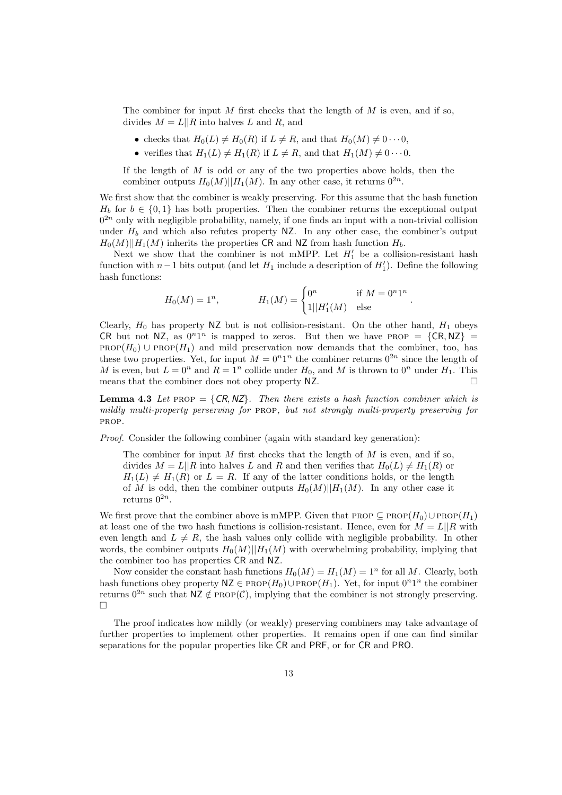The combiner for input M first checks that the length of M is even, and if so, divides  $M = L||R$  into halves L and R, and

- checks that  $H_0(L) \neq H_0(R)$  if  $L \neq R$ , and that  $H_0(M) \neq 0 \cdots 0$ ,
- verifies that  $H_1(L) \neq H_1(R)$  if  $L \neq R$ , and that  $H_1(M) \neq 0 \cdots 0$ .

If the length of  $M$  is odd or any of the two properties above holds, then the combiner outputs  $H_0(M)||H_1(M)$ . In any other case, it returns  $0^{2n}$ .

We first show that the combiner is weakly preserving. For this assume that the hash function  $H_b$  for  $b \in \{0,1\}$  has both properties. Then the combiner returns the exceptional output  $0^{2n}$  only with negligible probability, namely, if one finds an input with a non-trivial collision under  $H_b$  and which also refutes property NZ. In any other case, the combiner's output  $H_0(M)||H_1(M)$  inherits the properties CR and NZ from hash function  $H_b$ .

Next we show that the combiner is not mMPP. Let  $H'_1$  be a collision-resistant hash function with  $n-1$  bits output (and let  $H_1$  include a description of  $H'_1$ ). Define the following hash functions:

$$
H_0(M) = 1^n
$$
,  $H_1(M) = \begin{cases} 0^n & \text{if } M = 0^n 1^n \\ 1 || H'_1(M) & \text{else} \end{cases}$ 

.

Clearly,  $H_0$  has property NZ but is not collision-resistant. On the other hand,  $H_1$  obeys CR but not NZ, as  $0^n1^n$  is mapped to zeros. But then we have PROP = {CR, NZ} = PROP( $H_0$ ) ∪ PROP( $H_1$ ) and mild preservation now demands that the combiner, too, has these two properties. Yet, for input  $M = 0<sup>n</sup>1<sup>n</sup>$  the combiner returns  $0<sup>2n</sup>$  since the length of M is even, but  $L = 0^n$  and  $R = 1^n$  collide under  $H_0$ , and M is thrown to  $0^n$  under  $H_1$ . This means that the combiner does not obey property NZ.

**Lemma 4.3** Let PROP  $= \{CR, NZ\}$ . Then there exists a hash function combiner which is mildly multi-property perserving for prop, but not strongly multi-property preserving for prop.

Proof. Consider the following combiner (again with standard key generation):

The combiner for input M first checks that the length of M is even, and if so, divides  $M = L||R$  into halves L and R and then verifies that  $H_0(L) \neq H_1(R)$  or  $H_1(L) \neq H_1(R)$  or  $L = R$ . If any of the latter conditions holds, or the length of M is odd, then the combiner outputs  $H_0(M)||H_1(M)$ . In any other case it returns  $0^{2n}$ .

We first prove that the combiner above is mMPP. Given that PROP  $\subseteq$  PROP $(H_0) \cup$ PROP $(H_1)$ at least one of the two hash functions is collision-resistant. Hence, even for  $M = L||R$  with even length and  $L \neq R$ , the hash values only collide with negligible probability. In other words, the combiner outputs  $H_0(M)||H_1(M)$  with overwhelming probability, implying that the combiner too has properties CR and NZ.

Now consider the constant hash functions  $H_0(M) = H_1(M) = 1^n$  for all M. Clearly, both hash functions obey property  $NZ \in \text{PROP}(H_0) \cup \text{PROP}(H_1)$ . Yet, for input  $0^n1^n$  the combiner returns  $0^{2n}$  such that  $NZ \notin \text{PROP}(\mathcal{C})$ , implying that the combiner is not strongly preserving.  $\Box$ 

The proof indicates how mildly (or weakly) preserving combiners may take advantage of further properties to implement other properties. It remains open if one can find similar separations for the popular properties like CR and PRF, or for CR and PRO.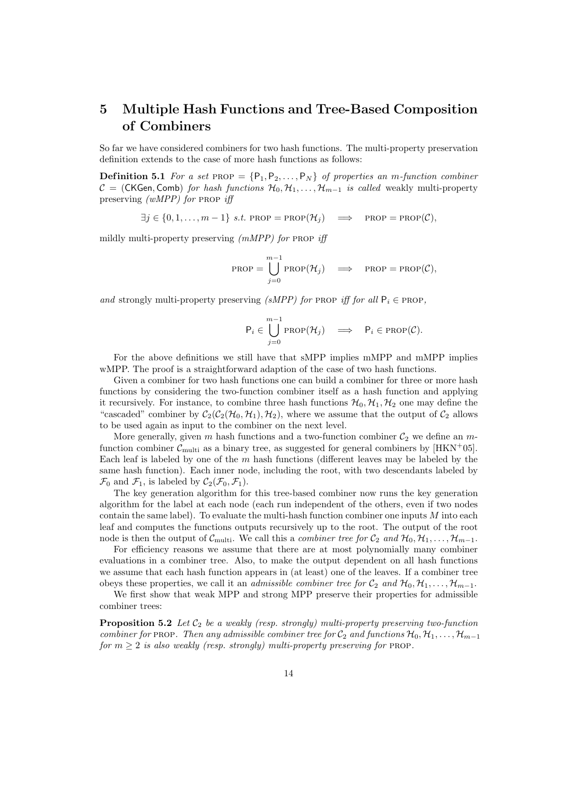# 5 Multiple Hash Functions and Tree-Based Composition of Combiners

So far we have considered combiners for two hash functions. The multi-property preservation definition extends to the case of more hash functions as follows:

**Definition 5.1** For a set PROP =  $\{P_1, P_2, \ldots, P_N\}$  of properties an m-function combiner  $\mathcal{C} = (\mathsf{CKGen}, \mathsf{Comb})$  for hash functions  $\mathcal{H}_0, \mathcal{H}_1, \ldots, \mathcal{H}_{m-1}$  is called weakly multi-property preserving  $(wMPP)$  for PROP iff

 $\exists j \in \{0, 1, \ldots, m-1\} \text{ s.t. } \text{PROP} = \text{PROP}(\mathcal{H}_i) \implies \text{PROP} = \text{PROP}(\mathcal{C}),$ 

mildly multi-property preserving  $(mMPP)$  for PROP iff

$$
PROP = \bigcup_{j=0}^{m-1} PROP(\mathcal{H}_j) \quad \Longrightarrow \quad PROP = PROP(\mathcal{C}),
$$

and strongly multi-property preserving (sMPP) for PROP iff for all  $P_i \in PROP$ ,

$$
\mathsf{P}_i \in \bigcup_{j=0}^{m-1} \text{PROP}(\mathcal{H}_j) \quad \Longrightarrow \quad \mathsf{P}_i \in \text{PROP}(\mathcal{C}).
$$

For the above definitions we still have that sMPP implies mMPP and mMPP implies wMPP. The proof is a straightforward adaption of the case of two hash functions.

Given a combiner for two hash functions one can build a combiner for three or more hash functions by considering the two-function combiner itself as a hash function and applying it recursively. For instance, to combine three hash functions  $\mathcal{H}_0$ ,  $\mathcal{H}_1$ ,  $\mathcal{H}_2$  one may define the "cascaded" combiner by  $C_2(C_2(\mathcal{H}_0, \mathcal{H}_1), \mathcal{H}_2)$ , where we assume that the output of  $C_2$  allows to be used again as input to the combiner on the next level.

More generally, given m hash functions and a two-function combiner  $\mathcal{C}_2$  we define an mfunction combiner  $C_{\text{multi}}$  as a binary tree, as suggested for general combiners by [HKN+05]. Each leaf is labeled by one of the  $m$  hash functions (different leaves may be labeled by the same hash function). Each inner node, including the root, with two descendants labeled by  $\mathcal{F}_0$  and  $\mathcal{F}_1$ , is labeled by  $\mathcal{C}_2(\mathcal{F}_0, \mathcal{F}_1)$ .

The key generation algorithm for this tree-based combiner now runs the key generation algorithm for the label at each node (each run independent of the others, even if two nodes contain the same label). To evaluate the multi-hash function combiner one inputs  $M$  into each leaf and computes the functions outputs recursively up to the root. The output of the root node is then the output of  $\mathcal{C}_{\text{multi}}$ . We call this a *combiner tree for*  $\mathcal{C}_2$  and  $\mathcal{H}_0, \mathcal{H}_1, \ldots, \mathcal{H}_{m-1}$ .

For efficiency reasons we assume that there are at most polynomially many combiner evaluations in a combiner tree. Also, to make the output dependent on all hash functions we assume that each hash function appears in (at least) one of the leaves. If a combiner tree obeys these properties, we call it an *admissible combiner tree for*  $C_2$  and  $\mathcal{H}_0, \mathcal{H}_1, \ldots, \mathcal{H}_{m-1}$ .

We first show that weak MPP and strong MPP preserve their properties for admissible combiner trees:

**Proposition 5.2** Let  $C_2$  be a weakly (resp. strongly) multi-property preserving two-function combiner for PROP. Then any admissible combiner tree for  $C_2$  and functions  $\mathcal{H}_0, \mathcal{H}_1, \ldots, \mathcal{H}_{m-1}$ for  $m \geq 2$  is also weakly (resp. strongly) multi-property preserving for PROP.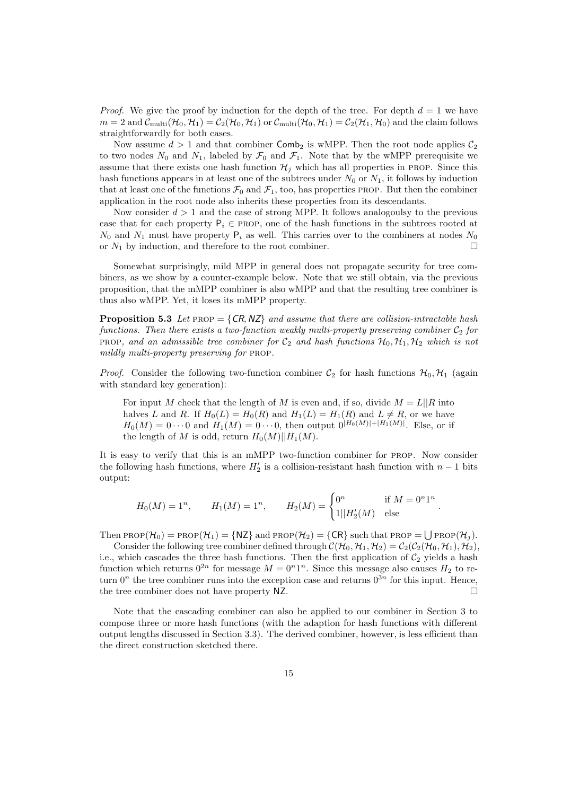*Proof.* We give the proof by induction for the depth of the tree. For depth  $d = 1$  we have  $m = 2$  and  $\mathcal{C}_{\text{multi}}(\mathcal{H}_0, \mathcal{H}_1) = \mathcal{C}_2(\mathcal{H}_0, \mathcal{H}_1)$  or  $\mathcal{C}_{\text{multi}}(\mathcal{H}_0, \mathcal{H}_1) = \mathcal{C}_2(\mathcal{H}_1, \mathcal{H}_0)$  and the claim follows straightforwardly for both cases.

Now assume  $d > 1$  and that combiner Comb<sub>2</sub> is wMPP. Then the root node applies  $C_2$ to two nodes  $N_0$  and  $N_1$ , labeled by  $\mathcal{F}_0$  and  $\mathcal{F}_1$ . Note that by the wMPP prerequisite we assume that there exists one hash function  $\mathcal{H}_j$  which has all properties in PROP. Since this hash functions appears in at least one of the subtrees under  $N_0$  or  $N_1$ , it follows by induction that at least one of the functions  $\mathcal{F}_0$  and  $\mathcal{F}_1$ , too, has properties PROP. But then the combiner application in the root node also inherits these properties from its descendants.

Now consider  $d > 1$  and the case of strong MPP. It follows analogoulsy to the previous case that for each property  $P_i \in \text{PROP}$ , one of the hash functions in the subtrees rooted at  $N_0$  and  $N_1$  must have property  $P_i$  as well. This carries over to the combiners at nodes  $N_0$ or  $N_1$  by induction, and therefore to the root combiner.

Somewhat surprisingly, mild MPP in general does not propagate security for tree combiners, as we show by a counter-example below. Note that we still obtain, via the previous proposition, that the mMPP combiner is also wMPP and that the resulting tree combiner is thus also wMPP. Yet, it loses its mMPP property.

**Proposition 5.3** Let  $PROP = \{CR, NZ\}$  and assume that there are collision-intractable hash functions. Then there exists a two-function weakly multi-property preserving combiner  $C_2$  for **PROP**, and an admissible tree combiner for  $C_2$  and hash functions  $\mathcal{H}_0$ ,  $\mathcal{H}_1$ ,  $\mathcal{H}_2$  which is not mildly multi-property preserving for PROP.

*Proof.* Consider the following two-function combiner  $C_2$  for hash functions  $\mathcal{H}_0$ ,  $\mathcal{H}_1$  (again with standard key generation):

For input M check that the length of M is even and, if so, divide  $M = L||R$  into halves L and R. If  $H_0(L) = H_0(R)$  and  $H_1(L) = H_1(R)$  and  $L \neq R$ , or we have  $H_0(M) = 0 \cdots 0$  and  $H_1(M) = 0 \cdots 0$ , then output  $0^{|H_0(M)|+|H_1(M)|}$ . Else, or if the length of M is odd, return  $H_0(M)||H_1(M)$ .

It is easy to verify that this is an mMPP two-function combiner for prop. Now consider the following hash functions, where  $H'_2$  is a collision-resistant hash function with  $n-1$  bits output:

$$
H_0(M) = 1^n
$$
,  $H_1(M) = 1^n$ ,  $H_2(M) = \begin{cases} 0^n & \text{if } M = 0^n 1^n \\ 1||H'_2(M) & \text{else} \end{cases}$ .

Then PROP( $H_0$ ) = PROP( $H_1$ ) = {NZ} and PROP( $H_2$ ) = {CR} such that PROP =  $\bigcup$  PROP( $H_j$ ).

Consider the following tree combiner defined through  $\mathcal{C}(\mathcal{H}_0, \mathcal{H}_1, \mathcal{H}_2) = \mathcal{C}_2(\mathcal{C}_2(\mathcal{H}_0, \mathcal{H}_1), \mathcal{H}_2)$ , i.e., which cascades the three hash functions. Then the first application of  $C_2$  yields a hash function which returns  $0^{2n}$  for message  $M = 0^n 1^n$ . Since this message also causes  $H_2$  to return  $0^n$  the tree combiner runs into the exception case and returns  $0^{3n}$  for this input. Hence, the tree combiner does not have property NZ.

Note that the cascading combiner can also be applied to our combiner in Section 3 to compose three or more hash functions (with the adaption for hash functions with different output lengths discussed in Section 3.3). The derived combiner, however, is less efficient than the direct construction sketched there.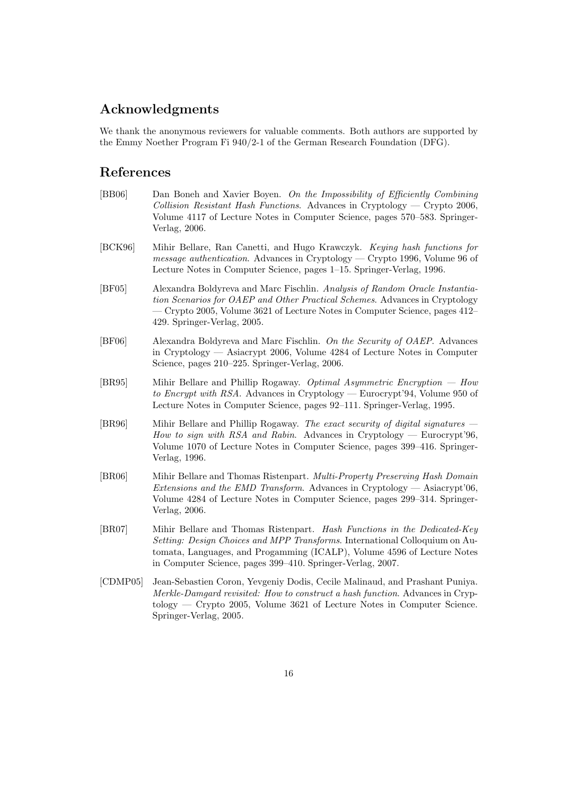# Acknowledgments

We thank the anonymous reviewers for valuable comments. Both authors are supported by the Emmy Noether Program Fi 940/2-1 of the German Research Foundation (DFG).

## References

- [BB06] Dan Boneh and Xavier Boyen. On the Impossibility of Efficiently Combining Collision Resistant Hash Functions. Advances in Cryptology — Crypto  $2006$ , Volume 4117 of Lecture Notes in Computer Science, pages 570–583. Springer-Verlag, 2006.
- [BCK96] Mihir Bellare, Ran Canetti, and Hugo Krawczyk. Keying hash functions for message authentication. Advances in Cryptology — Crypto 1996, Volume 96 of Lecture Notes in Computer Science, pages 1–15. Springer-Verlag, 1996.
- [BF05] Alexandra Boldyreva and Marc Fischlin. Analysis of Random Oracle Instantiation Scenarios for OAEP and Other Practical Schemes. Advances in Cryptology — Crypto 2005, Volume 3621 of Lecture Notes in Computer Science, pages 412– 429. Springer-Verlag, 2005.
- [BF06] Alexandra Boldyreva and Marc Fischlin. On the Security of OAEP. Advances in Cryptology — Asiacrypt 2006, Volume 4284 of Lecture Notes in Computer Science, pages 210–225. Springer-Verlag, 2006.
- [BR95] Mihir Bellare and Phillip Rogaway. Optimal Asymmetric Encryption How to Encrypt with RSA. Advances in Cryptology — Eurocrypt'94, Volume 950 of Lecture Notes in Computer Science, pages 92–111. Springer-Verlag, 1995.
- [BR96] Mihir Bellare and Phillip Rogaway. The exact security of digital signatures How to sign with RSA and Rabin. Advances in Cryptology — Eurocrypt'96, Volume 1070 of Lecture Notes in Computer Science, pages 399–416. Springer-Verlag, 1996.
- [BR06] Mihir Bellare and Thomas Ristenpart. Multi-Property Preserving Hash Domain Extensions and the EMD Transform. Advances in Cryptology  $-$  Asiacrypt'06, Volume 4284 of Lecture Notes in Computer Science, pages 299–314. Springer-Verlag, 2006.
- [BR07] Mihir Bellare and Thomas Ristenpart. Hash Functions in the Dedicated-Key Setting: Design Choices and MPP Transforms. International Colloquium on Automata, Languages, and Progamming (ICALP), Volume 4596 of Lecture Notes in Computer Science, pages 399–410. Springer-Verlag, 2007.
- [CDMP05] Jean-Sebastien Coron, Yevgeniy Dodis, Cecile Malinaud, and Prashant Puniya. Merkle-Damgard revisited: How to construct a hash function. Advances in Cryptology — Crypto 2005, Volume 3621 of Lecture Notes in Computer Science. Springer-Verlag, 2005.